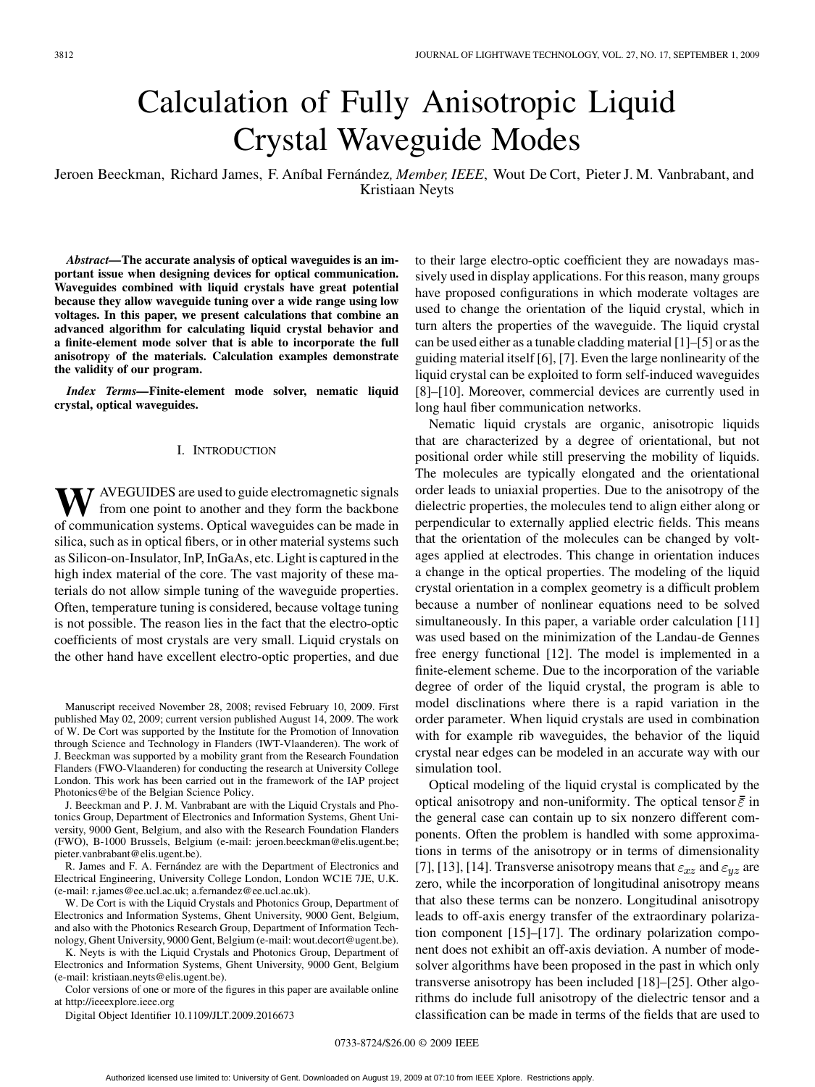# Calculation of Fully Anisotropic Liquid Crystal Waveguide Modes

Jeroen Beeckman, Richard James, F. Aníbal Fernández*, Member, IEEE*, Wout De Cort, Pieter J. M. Vanbrabant, and Kristiaan Neyts

*Abstract—***The accurate analysis of optical waveguides is an important issue when designing devices for optical communication. Waveguides combined with liquid crystals have great potential because they allow waveguide tuning over a wide range using low voltages. In this paper, we present calculations that combine an advanced algorithm for calculating liquid crystal behavior and a finite-element mode solver that is able to incorporate the full anisotropy of the materials. Calculation examples demonstrate the validity of our program.**

*Index Terms—***Finite-element mode solver, nematic liquid crystal, optical waveguides.**

#### I. INTRODUCTION

**W** AVEGUIDES are used to guide electromagnetic signals from one point to another and they form the backbone of communication systems. Optical waveguides can be made in silica, such as in optical fibers, or in other material systems such as Silicon-on-Insulator, InP, InGaAs, etc. Light is captured in the high index material of the core. The vast majority of these materials do not allow simple tuning of the waveguide properties. Often, temperature tuning is considered, because voltage tuning is not possible. The reason lies in the fact that the electro-optic coefficients of most crystals are very small. Liquid crystals on the other hand have excellent electro-optic properties, and due

Manuscript received November 28, 2008; revised February 10, 2009. First published May 02, 2009; current version published August 14, 2009. The work of W. De Cort was supported by the Institute for the Promotion of Innovation through Science and Technology in Flanders (IWT-Vlaanderen). The work of J. Beeckman was supported by a mobility grant from the Research Foundation Flanders (FWO-Vlaanderen) for conducting the research at University College London. This work has been carried out in the framework of the IAP project Photonics@be of the Belgian Science Policy.

J. Beeckman and P. J. M. Vanbrabant are with the Liquid Crystals and Photonics Group, Department of Electronics and Information Systems, Ghent University, 9000 Gent, Belgium, and also with the Research Foundation Flanders (FWO), B-1000 Brussels, Belgium (e-mail: jeroen.beeckman@elis.ugent.be; pieter.vanbrabant@elis.ugent.be).

R. James and F. A. Fernández are with the Department of Electronics and Electrical Engineering, University College London, London WC1E 7JE, U.K. (e-mail: r.james@ee.ucl.ac.uk; a.fernandez@ee.ucl.ac.uk).

W. De Cort is with the Liquid Crystals and Photonics Group, Department of Electronics and Information Systems, Ghent University, 9000 Gent, Belgium, and also with the Photonics Research Group, Department of Information Technology, Ghent University, 9000 Gent, Belgium (e-mail: wout.decort@ugent.be).

K. Neyts is with the Liquid Crystals and Photonics Group, Department of Electronics and Information Systems, Ghent University, 9000 Gent, Belgium (e-mail: kristiaan.neyts@elis.ugent.be).

Color versions of one or more of the figures in this paper are available online at http://ieeexplore.ieee.org

Digital Object Identifier 10.1109/JLT.2009.2016673

to their large electro-optic coefficient they are nowadays massively used in display applications. For this reason, many groups have proposed configurations in which moderate voltages are used to change the orientation of the liquid crystal, which in turn alters the properties of the waveguide. The liquid crystal can be used either as a tunable cladding material [1]–[5] or as the guiding material itself [6], [7]. Even the large nonlinearity of the liquid crystal can be exploited to form self-induced waveguides [8]–[10]. Moreover, commercial devices are currently used in long haul fiber communication networks.

Nematic liquid crystals are organic, anisotropic liquids that are characterized by a degree of orientational, but not positional order while still preserving the mobility of liquids. The molecules are typically elongated and the orientational order leads to uniaxial properties. Due to the anisotropy of the dielectric properties, the molecules tend to align either along or perpendicular to externally applied electric fields. This means that the orientation of the molecules can be changed by voltages applied at electrodes. This change in orientation induces a change in the optical properties. The modeling of the liquid crystal orientation in a complex geometry is a difficult problem because a number of nonlinear equations need to be solved simultaneously. In this paper, a variable order calculation [11] was used based on the minimization of the Landau-de Gennes free energy functional [12]. The model is implemented in a finite-element scheme. Due to the incorporation of the variable degree of order of the liquid crystal, the program is able to model disclinations where there is a rapid variation in the order parameter. When liquid crystals are used in combination with for example rib waveguides, the behavior of the liquid crystal near edges can be modeled in an accurate way with our simulation tool.

Optical modeling of the liquid crystal is complicated by the optical anisotropy and non-uniformity. The optical tensor  $\overline{\overline{\varepsilon}}$  in the general case can contain up to six nonzero different components. Often the problem is handled with some approximations in terms of the anisotropy or in terms of dimensionality [7], [13], [14]. Transverse anisotropy means that  $\varepsilon_{xz}$  and  $\varepsilon_{yz}$  are zero, while the incorporation of longitudinal anisotropy means that also these terms can be nonzero. Longitudinal anisotropy leads to off-axis energy transfer of the extraordinary polarization component [15]–[17]. The ordinary polarization component does not exhibit an off-axis deviation. A number of modesolver algorithms have been proposed in the past in which only transverse anisotropy has been included [18]–[25]. Other algorithms do include full anisotropy of the dielectric tensor and a classification can be made in terms of the fields that are used to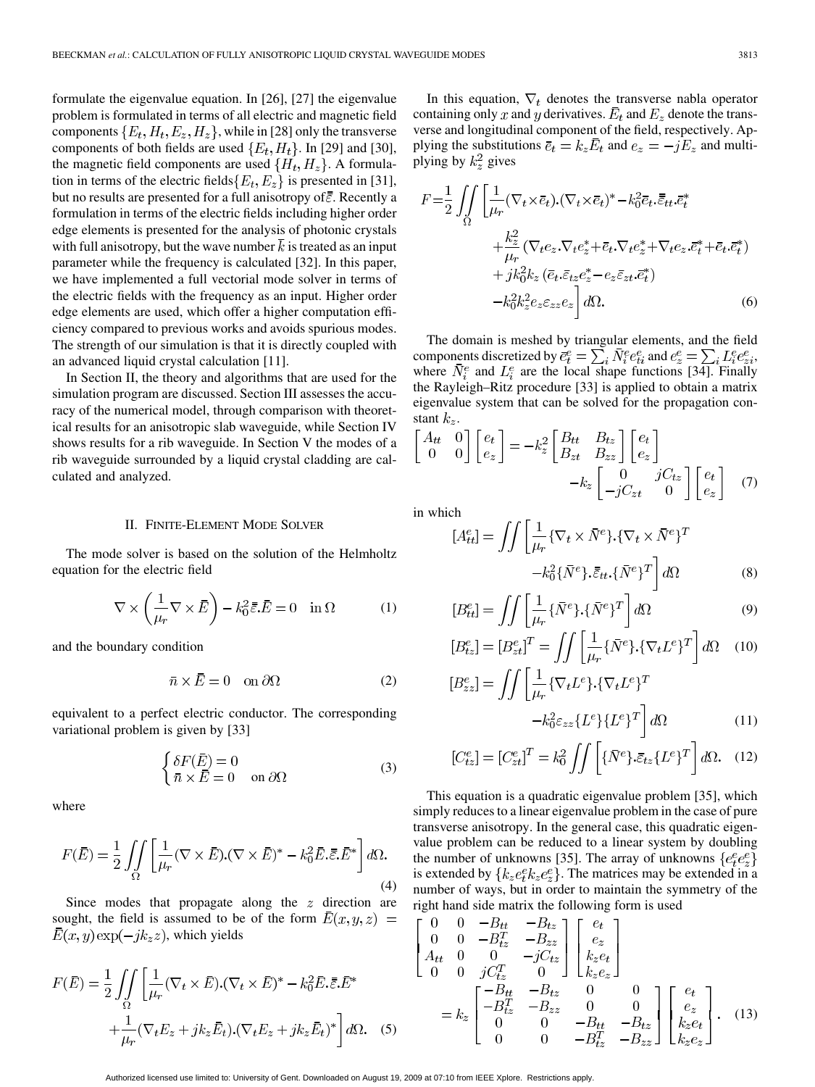formulate the eigenvalue equation. In [26], [27] the eigenvalue problem is formulated in terms of all electric and magnetic field components  $\{E_t, H_t, E_z, H_z\}$ , while in [28] only the transverse components of both fields are used  $\{E_t, H_t\}$ . In [29] and [30], the magnetic field components are used  $\{H_t, H_z\}$ . A formulation in terms of the electric fields  $\{E_t, E_z\}$  is presented in [31], but no results are presented for a full anisotropy of  $\bar{\bar{\varepsilon}}$ . Recently a formulation in terms of the electric fields including higher order edge elements is presented for the analysis of photonic crystals with full anisotropy, but the wave number  $\overline{k}$  is treated as an input parameter while the frequency is calculated [32]. In this paper, we have implemented a full vectorial mode solver in terms of the electric fields with the frequency as an input. Higher order edge elements are used, which offer a higher computation efficiency compared to previous works and avoids spurious modes. The strength of our simulation is that it is directly coupled with an advanced liquid crystal calculation [11].

In Section II, the theory and algorithms that are used for the simulation program are discussed. Section III assesses the accuracy of the numerical model, through comparison with theoretical results for an anisotropic slab waveguide, while Section IV shows results for a rib waveguide. In Section V the modes of a rib waveguide surrounded by a liquid crystal cladding are calculated and analyzed.

#### II. FINITE-ELEMENT MODE SOLVER

The mode solver is based on the solution of the Helmholtz equation for the electric field

$$
\nabla \times \left(\frac{1}{\mu_r} \nabla \times \vec{E}\right) - k_0^2 \bar{\varepsilon} \cdot \vec{E} = 0 \quad \text{in } \Omega \tag{1}
$$

and the boundary condition

$$
\bar{n} \times \bar{E} = 0 \quad \text{on } \partial\Omega \tag{2}
$$

equivalent to a perfect electric conductor. The corresponding variational problem is given by [33]

$$
\begin{cases}\n\delta F(\bar{E}) = 0 \\
\bar{n} \times \bar{E} = 0 \quad \text{on } \partial\Omega\n\end{cases} (3)
$$

where

$$
F(\bar{E}) = \frac{1}{2} \iint_{\Omega} \left[ \frac{1}{\mu_r} (\nabla \times \bar{E}) \cdot (\nabla \times \bar{E})^* - k_0^2 \bar{E} \cdot \bar{\bar{\varepsilon}} \cdot \bar{E}^* \right] d\Omega.
$$
\n(4)

Since modes that propagate along the  $z$  direction are sought, the field is assumed to be of the form  $\bar{E}(x, y, z) =$  $\bar{E}(x, y) \exp(-jk_z z)$ , which yields

$$
F(\bar{E}) = \frac{1}{2} \iint_{\Omega} \left[ \frac{1}{\mu_r} (\nabla_t \times \bar{E}) \cdot (\nabla_t \times \bar{E})^* - k_0^2 \bar{E} \cdot \bar{\bar{\varepsilon}} \cdot \bar{E}^* + \frac{1}{\mu_r} (\nabla_t E_z + j k_z \bar{E}_t) \cdot (\nabla_t E_z + j k_z \bar{E}_t)^* \right] d\Omega.
$$
 (5)

In this equation,  $\nabla_t$  denotes the transverse nabla operator containing only x and y derivatives.  $\overline{E}_t$  and  $E_z$  denote the transverse and longitudinal component of the field, respectively. Applying the substitutions  $\overline{e}_t = k_z E_t$  and  $e_z = -jE_z$  and multiplying by  $k_z^2$  gives

$$
F = \frac{1}{2} \iint_{\Omega} \left[ \frac{1}{\mu_r} (\nabla_t \times \bar{e}_t) \cdot (\nabla_t \times \bar{e}_t)^* - k_0^2 \bar{e}_t \cdot \bar{\bar{e}}_{tt} \cdot \bar{e}_t^* + \frac{k_z^2}{\mu_r} (\nabla_t e_z \cdot \nabla_t e_z^* + \bar{e}_t \cdot \nabla_t e_z^* + \nabla_t e_z \cdot \bar{e}_t^* + \bar{e}_t \cdot \bar{e}_t^*) + j k_0^2 k_z \left( \bar{e}_t \cdot \bar{e}_t z_e^* - e_z \bar{e}_z t \cdot \bar{e}_t^* \right) - k_0^2 k_z^2 e_z \varepsilon_{zz} e_z \right] d\Omega.
$$
 (6)

The domain is meshed by triangular elements, and the field components discretized by  $\bar{e}_t^e = \sum_i N_i^e e_{ti}^e$  and  $e_z^e = \sum_i L_i^e e_{zi}^e$ , where  $N_i^e$  and  $L_i^e$  are the local shape functions [34]. Finally the Rayleigh–Ritz procedure [33] is applied to obtain a matrix eigenvalue system that can be solved for the propagation constant  $k_z$ .

$$
\begin{bmatrix} A_{tt} & 0 \\ 0 & 0 \end{bmatrix} \begin{bmatrix} e_t \\ e_z \end{bmatrix} = -k_z^2 \begin{bmatrix} B_{tt} & B_{tz} \\ B_{zt} & B_{zz} \end{bmatrix} \begin{bmatrix} e_t \\ e_z \end{bmatrix} -k_z \begin{bmatrix} 0 & jC_{tz} \\ -jC_{zt} & 0 \end{bmatrix} \begin{bmatrix} e_t \\ e_z \end{bmatrix}
$$
 (7)

in which

$$
[A_{tt}^e] = \iint \left[ \frac{1}{\mu_r} \{ \nabla_t \times \bar{N}^e \} . \{ \nabla_t \times \bar{N}^e \}^T -k_0^2 \{ \bar{N}^e \} . \bar{\varepsilon}_{tt} . \{ \bar{N}^e \}^T \right] d\Omega \tag{8}
$$

$$
[B_{tt}^e] = \iint \left[ \frac{1}{\mu_r} \{ \bar{N}^e \} \cdot \{ \bar{N}^e \}^T \right] d\Omega \tag{9}
$$

$$
[B_{tz}^e] = [B_{zt}^e]^T = \iint \left[ \frac{1}{\mu_r} \{ \bar{N}^e \} . \{ \nabla_t L^e \}^T \right] d\Omega \quad (10)
$$
  

$$
[B_{zz}^e] = \iint \left[ \frac{1}{\mu_r} \{ \nabla_t L^e \} . \{ \nabla_t L^e \}^T \right]
$$
  

$$
-k_0^2 \varepsilon_{zz} \{ L^e \} \{ L^e \}^T \right] d\Omega \quad (11)
$$

$$
[C_{tz}^e] = [C_{zt}^e]^T = k_0^2 \iint \left[ \{\bar{N}^e\} \cdot \bar{\varepsilon}_{tz} \{L^e\}^T \right] d\Omega. \quad (12)
$$

This equation is a quadratic eigenvalue problem [35], which simply reduces to a linear eigenvalue problem in the case of pure transverse anisotropy. In the general case, this quadratic eigenvalue problem can be reduced to a linear system by doubling the number of unknowns [35]. The array of unknowns  $\{e^e_t e^e_z\}$ is extended by  ${k_z e_t^e k_z e_z^e}$ . The matrices may be extended in a number of ways, but in order to maintain the symmetry of the right hand side matrix the following form is used

$$
\begin{bmatrix}\n0 & 0 & -B_{tt} & -B_{tz} \\
0 & 0 & -B_{tz}^T & -B_{zz} \\
A_{tt} & 0 & 0 & -jC_{tz} \\
0 & 0 & jC_{tz}^T & 0\n\end{bmatrix}\n\begin{bmatrix}\ne_t \\
e_z \\
k_z e_t \\
k_z e_z\n\end{bmatrix}
$$
\n
$$
= k_z \begin{bmatrix}\n-B_{tt} & -B_{tz} & 0 & 0 \\
-B_{tz}^T & -B_{zz} & 0 & 0 \\
0 & 0 & -B_{tt} & -B_{tz} \\
0 & 0 & -B_{tz}^T & -B_{zz}\n\end{bmatrix}\n\begin{bmatrix}\ne_t \\
e_z \\
k_z e_t \\
k_z e_z\n\end{bmatrix}.
$$
\n(13)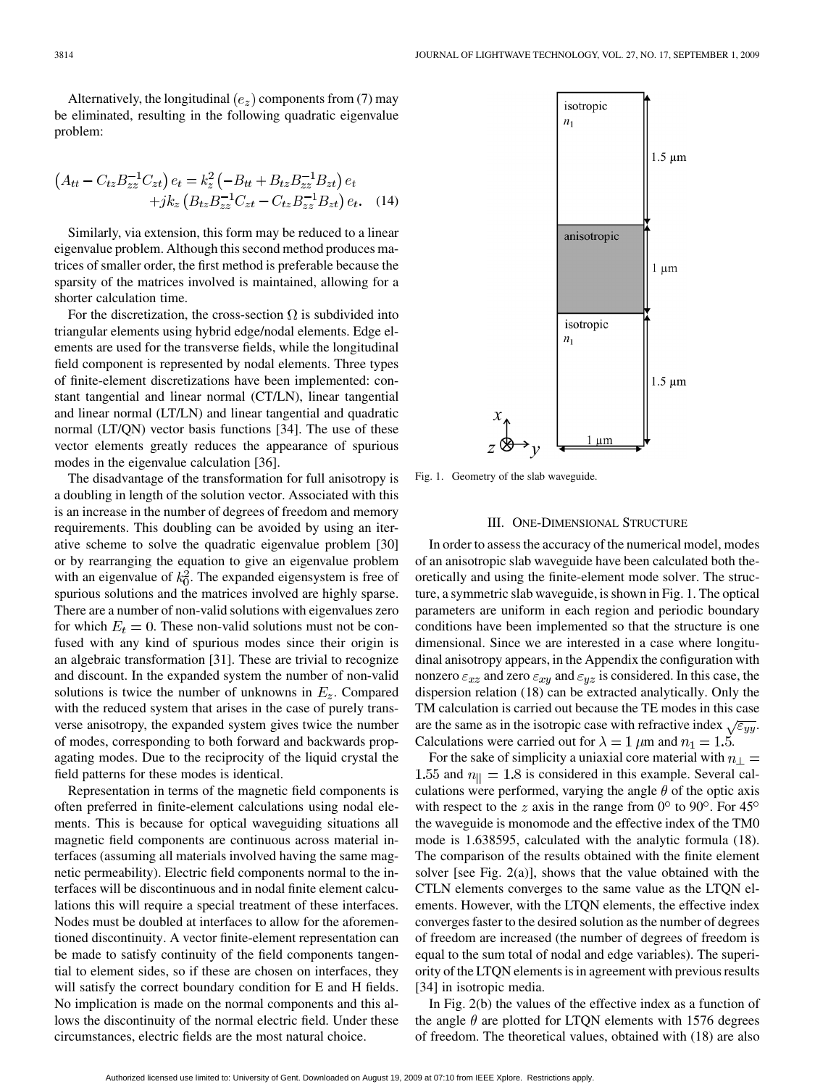Alternatively, the longitudinal  $(e_z)$  components from (7) may be eliminated, resulting in the following quadratic eigenvalue problem:

$$
(A_{tt} - C_{tz}B_{zz}^{-1}C_{zt}) e_t = k_z^2 \left(-B_{tt} + B_{tz}B_{zz}^{-1}B_{zt}\right) e_t +jk_z \left(B_{tz}B_{zz}^{-1}C_{zt} - C_{tz}B_{zz}^{-1}B_{zt}\right) e_t.
$$
 (14)

Similarly, via extension, this form may be reduced to a linear eigenvalue problem. Although this second method produces matrices of smaller order, the first method is preferable because the sparsity of the matrices involved is maintained, allowing for a shorter calculation time.

For the discretization, the cross-section  $\Omega$  is subdivided into triangular elements using hybrid edge/nodal elements. Edge elements are used for the transverse fields, while the longitudinal field component is represented by nodal elements. Three types of finite-element discretizations have been implemented: constant tangential and linear normal (CT/LN), linear tangential and linear normal (LT/LN) and linear tangential and quadratic normal (LT/QN) vector basis functions [34]. The use of these vector elements greatly reduces the appearance of spurious modes in the eigenvalue calculation [36].

The disadvantage of the transformation for full anisotropy is a doubling in length of the solution vector. Associated with this is an increase in the number of degrees of freedom and memory requirements. This doubling can be avoided by using an iterative scheme to solve the quadratic eigenvalue problem [30] or by rearranging the equation to give an eigenvalue problem with an eigenvalue of  $k_0^2$ . The expanded eigensystem is free of spurious solutions and the matrices involved are highly sparse. There are a number of non-valid solutions with eigenvalues zero for which  $E_t = 0$ . These non-valid solutions must not be confused with any kind of spurious modes since their origin is an algebraic transformation [31]. These are trivial to recognize and discount. In the expanded system the number of non-valid solutions is twice the number of unknowns in  $E_z$ . Compared with the reduced system that arises in the case of purely transverse anisotropy, the expanded system gives twice the number of modes, corresponding to both forward and backwards propagating modes. Due to the reciprocity of the liquid crystal the field patterns for these modes is identical.

Representation in terms of the magnetic field components is often preferred in finite-element calculations using nodal elements. This is because for optical waveguiding situations all magnetic field components are continuous across material interfaces (assuming all materials involved having the same magnetic permeability). Electric field components normal to the interfaces will be discontinuous and in nodal finite element calculations this will require a special treatment of these interfaces. Nodes must be doubled at interfaces to allow for the aforementioned discontinuity. A vector finite-element representation can be made to satisfy continuity of the field components tangential to element sides, so if these are chosen on interfaces, they will satisfy the correct boundary condition for E and H fields. No implication is made on the normal components and this allows the discontinuity of the normal electric field. Under these circumstances, electric fields are the most natural choice.



Fig. 1. Geometry of the slab waveguide.

## III. ONE-DIMENSIONAL STRUCTURE

In order to assess the accuracy of the numerical model, modes of an anisotropic slab waveguide have been calculated both theoretically and using the finite-element mode solver. The structure, a symmetric slab waveguide, is shown in Fig. 1. The optical parameters are uniform in each region and periodic boundary conditions have been implemented so that the structure is one dimensional. Since we are interested in a case where longitudinal anisotropy appears, in the Appendix the configuration with nonzero  $\varepsilon_{xz}$  and zero  $\varepsilon_{xy}$  and  $\varepsilon_{yz}$  is considered. In this case, the dispersion relation (18) can be extracted analytically. Only the TM calculation is carried out because the TE modes in this case are the same as in the isotropic case with refractive index  $\sqrt{\varepsilon_{yy}}$ . Calculations were carried out for  $\lambda = 1$   $\mu$ m and  $n_1 = 1.5$ .

For the sake of simplicity a uniaxial core material with  $n_{\perp}$  = 1.55 and  $n_{\parallel} = 1.8$  is considered in this example. Several calculations were performed, varying the angle  $\theta$  of the optic axis with respect to the z axis in the range from  $0^{\circ}$  to  $90^{\circ}$ . For  $45^{\circ}$ the waveguide is monomode and the effective index of the TM0 mode is 1.638595, calculated with the analytic formula (18). The comparison of the results obtained with the finite element solver [see Fig. 2(a)], shows that the value obtained with the CTLN elements converges to the same value as the LTQN elements. However, with the LTQN elements, the effective index converges faster to the desired solution as the number of degrees of freedom are increased (the number of degrees of freedom is equal to the sum total of nodal and edge variables). The superiority of the LTQN elements is in agreement with previous results [34] in isotropic media.

In Fig. 2(b) the values of the effective index as a function of the angle  $\theta$  are plotted for LTQN elements with 1576 degrees of freedom. The theoretical values, obtained with (18) are also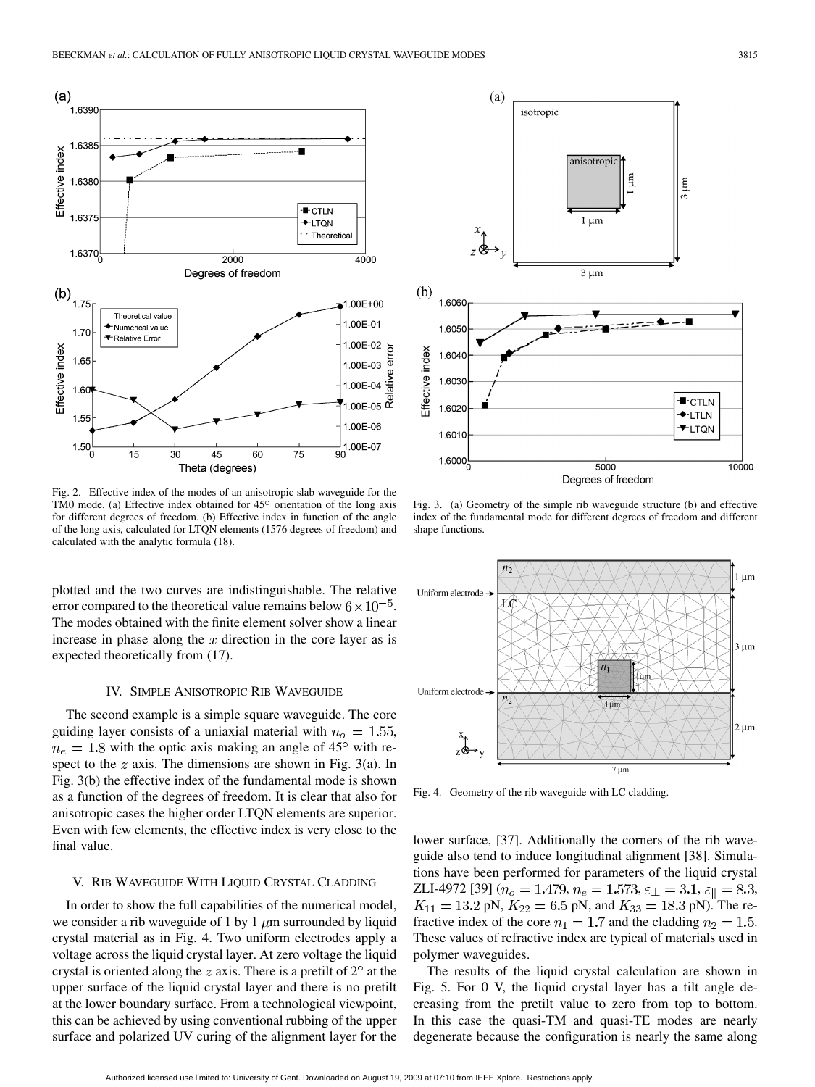

Fig. 2. Effective index of the modes of an anisotropic slab waveguide for the TM0 mode. (a) Effective index obtained for  $45^{\circ}$  orientation of the long axis for different degrees of freedom. (b) Effective index in function of the angle of the long axis, calculated for LTQN elements (1576 degrees of freedom) and calculated with the analytic formula (18).

plotted and the two curves are indistinguishable. The relative error compared to the theoretical value remains below  $6 \times 10^{-5}$ . The modes obtained with the finite element solver show a linear increase in phase along the  $x$  direction in the core layer as is expected theoretically from (17).

#### IV. SIMPLE ANISOTROPIC RIB WAVEGUIDE

The second example is a simple square waveguide. The core guiding layer consists of a uniaxial material with  $n_o = 1.55$ ,  $n_e = 1.8$  with the optic axis making an angle of 45° with respect to the  $z$  axis. The dimensions are shown in Fig. 3(a). In Fig. 3(b) the effective index of the fundamental mode is shown as a function of the degrees of freedom. It is clear that also for anisotropic cases the higher order LTQN elements are superior. Even with few elements, the effective index is very close to the final value.

#### V. RIB WAVEGUIDE WITH LIQUID CRYSTAL CLADDING

In order to show the full capabilities of the numerical model, we consider a rib waveguide of 1 by 1  $\mu$ m surrounded by liquid crystal material as in Fig. 4. Two uniform electrodes apply a voltage across the liquid crystal layer. At zero voltage the liquid crystal is oriented along the  $z$  axis. There is a pretilt of  $2^{\circ}$  at the upper surface of the liquid crystal layer and there is no pretilt at the lower boundary surface. From a technological viewpoint, this can be achieved by using conventional rubbing of the upper surface and polarized UV curing of the alignment layer for the



Fig. 3. (a) Geometry of the simple rib waveguide structure (b) and effective index of the fundamental mode for different degrees of freedom and different shape functions.



Fig. 4. Geometry of the rib waveguide with LC cladding.

lower surface, [37]. Additionally the corners of the rib waveguide also tend to induce longitudinal alignment [38]. Simulations have been performed for parameters of the liquid crystal ZLI-4972 [39]  $(n_o = 1.479, n_e = 1.573, \varepsilon_{\perp} = 3.1, \varepsilon_{\parallel} = 8.3,$  $K_{11} = 13.2 \text{ pN}, K_{22} = 6.5 \text{ pN}, \text{ and } K_{33} = 18.3 \text{ pN}.$  The refractive index of the core  $n_1 = 1.7$  and the cladding  $n_2 = 1.5$ . These values of refractive index are typical of materials used in polymer waveguides.

The results of the liquid crystal calculation are shown in Fig. 5. For 0 V, the liquid crystal layer has a tilt angle decreasing from the pretilt value to zero from top to bottom. In this case the quasi-TM and quasi-TE modes are nearly degenerate because the configuration is nearly the same along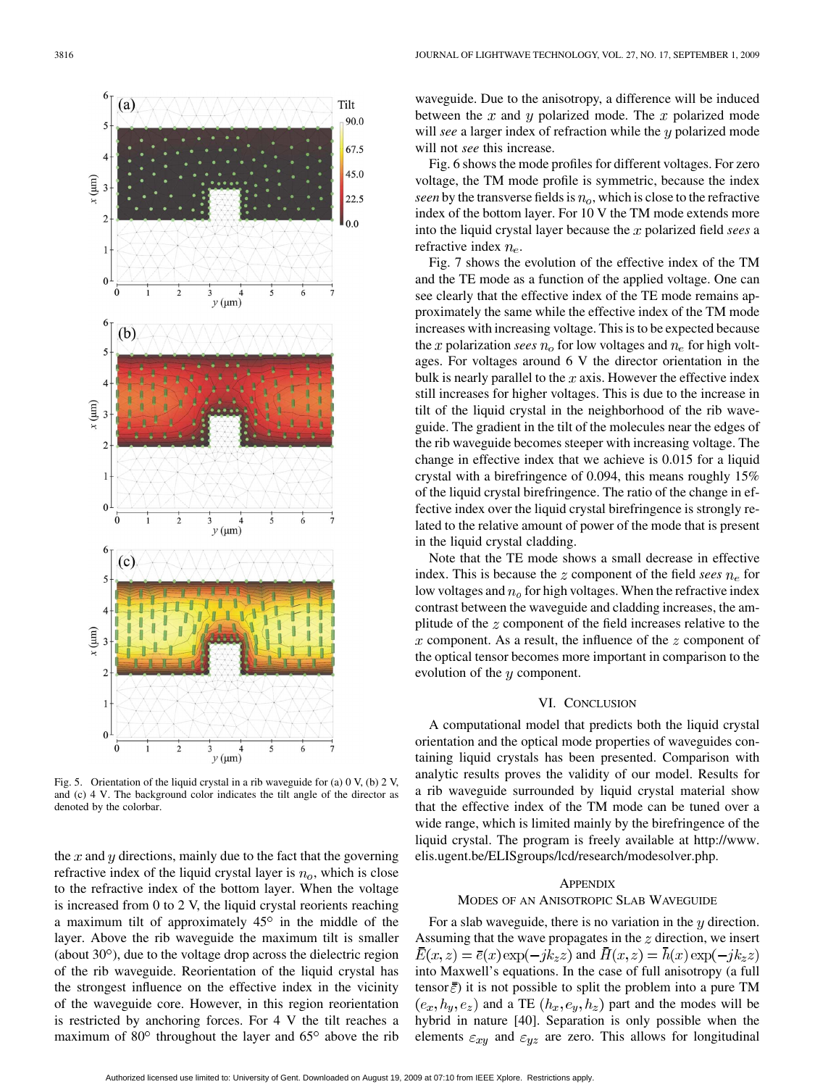

Fig. 5. Orientation of the liquid crystal in a rib waveguide for (a)  $0 \text{ V}$ , (b)  $2 \text{ V}$ , and (c) 4 V. The background color indicates the tilt angle of the director as denoted by the colorbar.

the  $x$  and  $y$  directions, mainly due to the fact that the governing refractive index of the liquid crystal layer is  $n_o$ , which is close to the refractive index of the bottom layer. When the voltage is increased from 0 to 2 V, the liquid crystal reorients reaching a maximum tilt of approximately  $45^\circ$  in the middle of the layer. Above the rib waveguide the maximum tilt is smaller (about  $30^{\circ}$ ), due to the voltage drop across the dielectric region of the rib waveguide. Reorientation of the liquid crystal has the strongest influence on the effective index in the vicinity of the waveguide core. However, in this region reorientation is restricted by anchoring forces. For 4 V the tilt reaches a maximum of  $80^{\circ}$  throughout the layer and  $65^{\circ}$  above the rib

waveguide. Due to the anisotropy, a difference will be induced between the  $x$  and  $y$  polarized mode. The  $x$  polarized mode will *see* a larger index of refraction while the y polarized mode will not *see* this increase.

Fig. 6 shows the mode profiles for different voltages. For zero voltage, the TM mode profile is symmetric, because the index *seen* by the transverse fields is  $n<sub>o</sub>$ , which is close to the refractive index of the bottom layer. For 10 V the TM mode extends more into the liquid crystal layer because the x polarized field *sees* a refractive index  $n_e$ .

Fig. 7 shows the evolution of the effective index of the TM and the TE mode as a function of the applied voltage. One can see clearly that the effective index of the TE mode remains approximately the same while the effective index of the TM mode increases with increasing voltage. This is to be expected because the x polarization *sees*  $n<sub>o</sub>$  for low voltages and  $n<sub>e</sub>$  for high voltages. For voltages around 6 V the director orientation in the bulk is nearly parallel to the  $x$  axis. However the effective index still increases for higher voltages. This is due to the increase in tilt of the liquid crystal in the neighborhood of the rib waveguide. The gradient in the tilt of the molecules near the edges of the rib waveguide becomes steeper with increasing voltage. The change in effective index that we achieve is 0.015 for a liquid crystal with a birefringence of 0.094, this means roughly 15% of the liquid crystal birefringence. The ratio of the change in effective index over the liquid crystal birefringence is strongly related to the relative amount of power of the mode that is present in the liquid crystal cladding.

Note that the TE mode shows a small decrease in effective index. This is because the  $z$  component of the field *sees*  $n_e$  for low voltages and  $n<sub>o</sub>$  for high voltages. When the refractive index contrast between the waveguide and cladding increases, the amplitude of the  $z$  component of the field increases relative to the  $x$  component. As a result, the influence of the  $z$  component of the optical tensor becomes more important in comparison to the evolution of the  $y$  component.

## VI. CONCLUSION

A computational model that predicts both the liquid crystal orientation and the optical mode properties of waveguides containing liquid crystals has been presented. Comparison with analytic results proves the validity of our model. Results for a rib waveguide surrounded by liquid crystal material show that the effective index of the TM mode can be tuned over a wide range, which is limited mainly by the birefringence of the liquid crystal. The program is freely available at http://www. elis.ugent.be/ELISgroups/lcd/research/modesolver.php.

## APPENDIX

### MODES OF AN ANISOTROPIC SLAB WAVEGUIDE

For a slab waveguide, there is no variation in the  $y$  direction. Assuming that the wave propagates in the  $z$  direction, we insert  $\bar{E}(x, z) = \bar{e}(x) \exp(-jk_z z)$  and  $\bar{H}(x, z) = h(x) \exp(-jk_z z)$ into Maxwell's equations. In the case of full anisotropy (a full tensor  $\bar{\bar{\varepsilon}}$ ) it is not possible to split the problem into a pure TM  $(e_x, h_y, e_z)$  and a TE  $(h_x, e_y, h_z)$  part and the modes will be hybrid in nature [40]. Separation is only possible when the elements  $\varepsilon_{xy}$  and  $\varepsilon_{yz}$  are zero. This allows for longitudinal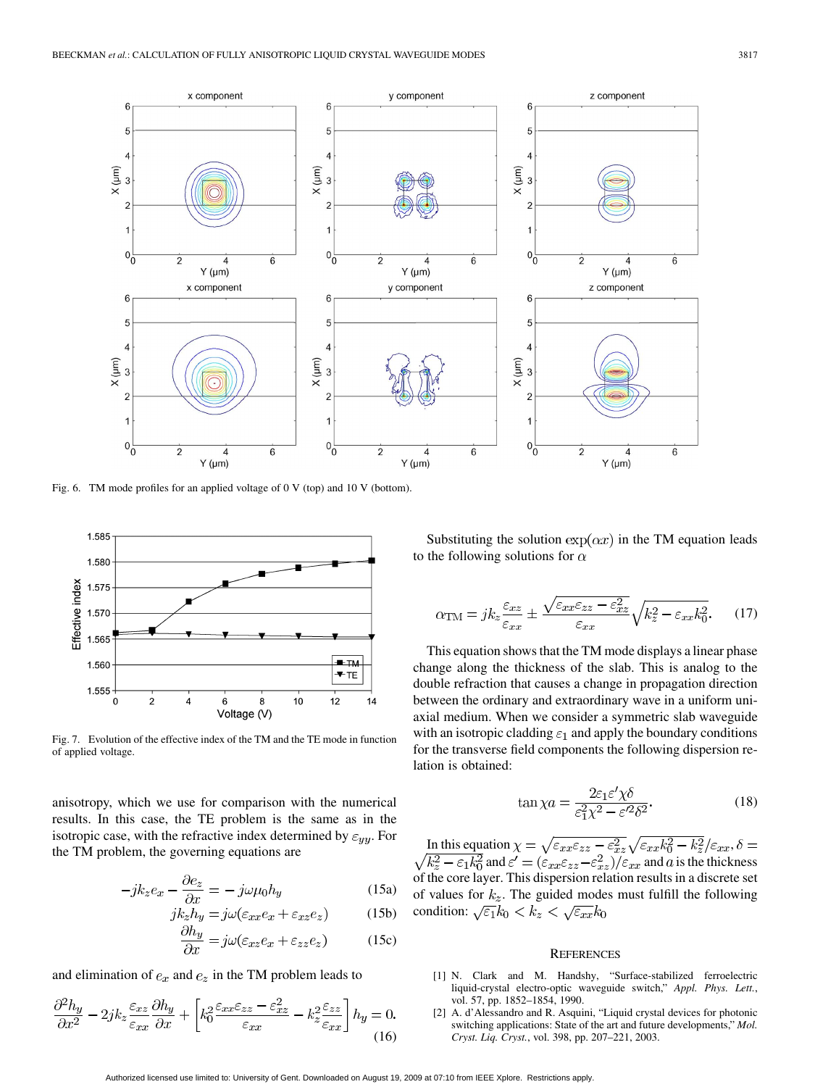

Fig. 6. TM mode profiles for an applied voltage of 0 V (top) and 10 V (bottom).



Fig. 7. Evolution of the effective index of the TM and the TE mode in function of applied voltage.

anisotropy, which we use for comparison with the numerical results. In this case, the TE problem is the same as in the isotropic case, with the refractive index determined by  $\varepsilon_{yy}$ . For the TM problem, the governing equations are

$$
-jk_{z}e_{x} - \frac{\partial e_{z}}{\partial x} = -j\omega\mu_{0}h_{y}
$$
 (15a)

$$
jk_z h_y = j\omega(\varepsilon_{xx} e_x + \varepsilon_{xz} e_z)
$$
 (15b)

$$
\frac{\partial n_y}{\partial x} = j\omega(\varepsilon_{xz}e_x + \varepsilon_{zz}e_z) \tag{15c}
$$

and elimination of  $e_x$  and  $e_z$  in the TM problem leads to

$$
\frac{\partial^2 h_y}{\partial x^2} - 2jk_z \frac{\varepsilon_{xz}}{\varepsilon_{xx}} \frac{\partial h_y}{\partial x} + \left[ k_0^2 \frac{\varepsilon_{xx} \varepsilon_{zz} - \varepsilon_{xz}^2}{\varepsilon_{xx}} - k_z^2 \frac{\varepsilon_{zz}}{\varepsilon_{xx}} \right] h_y = 0.
$$
\n(16)

Substituting the solution  $\exp(\alpha x)$  in the TM equation leads to the following solutions for  $\alpha$ 

$$
\alpha_{\rm TM} = j k_z \frac{\varepsilon_{xz}}{\varepsilon_{xx}} \pm \frac{\sqrt{\varepsilon_{xx}\varepsilon_{zz} - \varepsilon_{xz}^2}}{\varepsilon_{xx}} \sqrt{k_z^2 - \varepsilon_{xx} k_0^2}.
$$
 (17)

This equation shows that the TM mode displays a linear phase change along the thickness of the slab. This is analog to the double refraction that causes a change in propagation direction between the ordinary and extraordinary wave in a uniform uniaxial medium. When we consider a symmetric slab waveguide with an isotropic cladding  $\varepsilon_1$  and apply the boundary conditions for the transverse field components the following dispersion relation is obtained:

$$
\tan \chi a = \frac{2\varepsilon_1 \varepsilon' \chi \delta}{\varepsilon_1^2 \chi^2 - \varepsilon'^2 \delta^2}.
$$
 (18)

In this equation  $\chi = \sqrt{\varepsilon_{xx} \varepsilon_{zz}} - \varepsilon_{xz}^2 \sqrt{\varepsilon_{xx} k_0^2} - k_z^2/\varepsilon_{xx}$ , and  $\varepsilon' = (\varepsilon_{xx}\varepsilon_{zz} - \varepsilon_{xz}^2)/\varepsilon_{xx}$  and a is the thickness of the core layer. This dispersion relation results in a discrete set of values for  $k_z$ . The guided modes must fulfill the following condition:  $\sqrt{\varepsilon_1}k_0 < k_z < \sqrt{\varepsilon_{xx}}k_0$ 

#### **REFERENCES**

- [1] N. Clark and M. Handshy, "Surface-stabilized ferroelectric liquid-crystal electro-optic waveguide switch," *Appl. Phys. Lett.*, vol. 57, pp. 1852–1854, 1990.
- [2] A. d'Alessandro and R. Asquini, "Liquid crystal devices for photonic switching applications: State of the art and future developments," *Mol. Cryst. Liq. Cryst.*, vol. 398, pp. 207–221, 2003.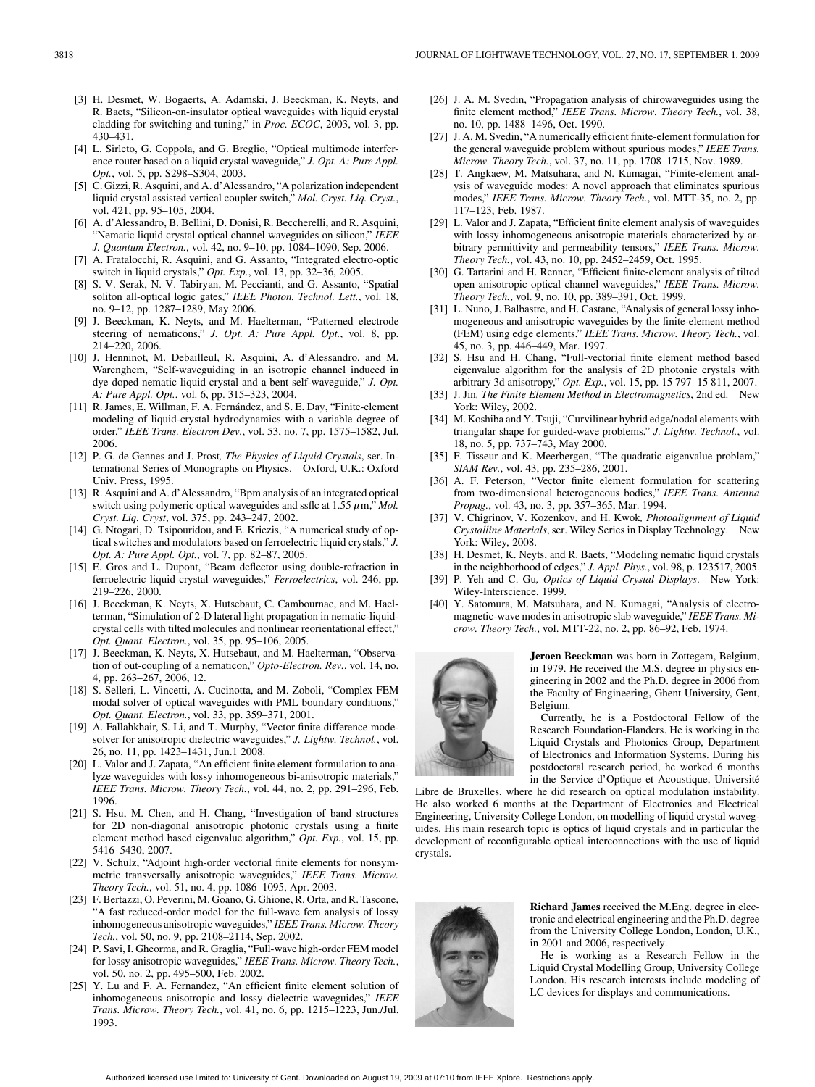- [3] H. Desmet, W. Bogaerts, A. Adamski, J. Beeckman, K. Neyts, and R. Baets, "Silicon-on-insulator optical waveguides with liquid crystal cladding for switching and tuning," in *Proc. ECOC*, 2003, vol. 3, pp. 430–431.
- [4] L. Sirleto, G. Coppola, and G. Breglio, "Optical multimode interference router based on a liquid crystal waveguide," *J. Opt. A: Pure Appl. Opt.*, vol. 5, pp. S298–S304, 2003.
- [5] C. Gizzi, R. Asquini, and A. d'Alessandro, "A polarization independent liquid crystal assisted vertical coupler switch," *Mol. Cryst. Liq. Cryst.*, vol. 421, pp. 95–105, 2004.
- [6] A. d'Alessandro, B. Bellini, D. Donisi, R. Beccherelli, and R. Asquini, "Nematic liquid crystal optical channel waveguides on silicon," *IEEE J. Quantum Electron.*, vol. 42, no. 9–10, pp. 1084–1090, Sep. 2006.
- [7] A. Fratalocchi, R. Asquini, and G. Assanto, "Integrated electro-optic switch in liquid crystals," *Opt. Exp.*, vol. 13, pp. 32–36, 2005.
- [8] S. V. Serak, N. V. Tabiryan, M. Peccianti, and G. Assanto, "Spatial soliton all-optical logic gates," *IEEE Photon. Technol. Lett.*, vol. 18, no. 9–12, pp. 1287–1289, May 2006.
- [9] J. Beeckman, K. Neyts, and M. Haelterman, "Patterned electrode steering of nematicons," *J. Opt. A: Pure Appl. Opt.*, vol. 8, pp. 214–220, 2006.
- [10] J. Henninot, M. Debailleul, R. Asquini, A. d'Alessandro, and M. Warenghem, "Self-waveguiding in an isotropic channel induced in dye doped nematic liquid crystal and a bent self-waveguide," *J. Opt. A: Pure Appl. Opt.*, vol. 6, pp. 315–323, 2004.
- [11] R. James, E. Willman, F. A. Fernández, and S. E. Day, "Finite-element modeling of liquid-crystal hydrodynamics with a variable degree of order," *IEEE Trans. Electron Dev.*, vol. 53, no. 7, pp. 1575–1582, Jul. 2006.
- [12] P. G. de Gennes and J. Prost*, The Physics of Liquid Crystals*, ser. International Series of Monographs on Physics. Oxford, U.K.: Oxford Univ. Press, 1995.
- [13] R. Asquini and A. d'Alessandro, "Bpm analysis of an integrated optical switch using polymeric optical waveguides and ssflc at  $1.55 \mu$ m," *Mol. Cryst. Liq. Cryst*, vol. 375, pp. 243–247, 2002.
- [14] G. Ntogari, D. Tsipouridou, and E. Kriezis, "A numerical study of optical switches and modulators based on ferroelectric liquid crystals," *J. Opt. A: Pure Appl. Opt.*, vol. 7, pp. 82–87, 2005.
- [15] E. Gros and L. Dupont, "Beam deflector using double-refraction in ferroelectric liquid crystal waveguides," *Ferroelectrics*, vol. 246, pp. 219–226, 2000.
- [16] J. Beeckman, K. Neyts, X. Hutsebaut, C. Cambournac, and M. Haelterman, "Simulation of 2-D lateral light propagation in nematic-liquidcrystal cells with tilted molecules and nonlinear reorientational effect," *Opt. Quant. Electron.*, vol. 35, pp. 95–106, 2005.
- [17] J. Beeckman, K. Neyts, X. Hutsebaut, and M. Haelterman, "Observation of out-coupling of a nematicon," *Opto-Electron. Rev.*, vol. 14, no. 4, pp. 263–267, 2006, 12.
- [18] S. Selleri, L. Vincetti, A. Cucinotta, and M. Zoboli, "Complex FEM modal solver of optical waveguides with PML boundary conditions," *Opt. Quant. Electron.*, vol. 33, pp. 359–371, 2001.
- [19] A. Fallahkhair, S. Li, and T. Murphy, "Vector finite difference modesolver for anisotropic dielectric waveguides," *J. Lightw. Technol.*, vol. 26, no. 11, pp. 1423–1431, Jun.1 2008.
- [20] L. Valor and J. Zapata, "An efficient finite element formulation to analyze waveguides with lossy inhomogeneous bi-anisotropic materials," *IEEE Trans. Microw. Theory Tech.*, vol. 44, no. 2, pp. 291–296, Feb. 1996.
- [21] S. Hsu, M. Chen, and H. Chang, "Investigation of band structures for 2D non-diagonal anisotropic photonic crystals using a finite element method based eigenvalue algorithm," *Opt. Exp.*, vol. 15, pp. 5416–5430, 2007.
- [22] V. Schulz, "Adjoint high-order vectorial finite elements for nonsymmetric transversally anisotropic waveguides," *IEEE Trans. Microw. Theory Tech.*, vol. 51, no. 4, pp. 1086–1095, Apr. 2003.
- [23] F. Bertazzi, O. Peverini, M. Goano, G. Ghione, R. Orta, and R. Tascone, "A fast reduced-order model for the full-wave fem analysis of lossy inhomogeneous anisotropic waveguides," *IEEE Trans. Microw. Theory Tech.*, vol. 50, no. 9, pp. 2108–2114, Sep. 2002.
- [24] P. Savi, I. Gheorma, and R. Graglia, "Full-wave high-order FEM model for lossy anisotropic waveguides," *IEEE Trans. Microw. Theory Tech.*, vol. 50, no. 2, pp. 495–500, Feb. 2002.
- [25] Y. Lu and F. A. Fernandez, "An efficient finite element solution of inhomogeneous anisotropic and lossy dielectric waveguides," *IEEE Trans. Microw. Theory Tech.*, vol. 41, no. 6, pp. 1215–1223, Jun./Jul. 1993.
- [26] J. A. M. Svedin, "Propagation analysis of chirowaveguides using the finite element method," *IEEE Trans. Microw. Theory Tech.*, vol. 38, no. 10, pp. 1488–1496, Oct. 1990.
- [27] J. A. M. Svedin, "A numerically efficient finite-element formulation for the general waveguide problem without spurious modes," *IEEE Trans. Microw. Theory Tech.*, vol. 37, no. 11, pp. 1708–1715, Nov. 1989.
- [28] T. Angkaew, M. Matsuhara, and N. Kumagai, "Finite-element analysis of waveguide modes: A novel approach that eliminates spurious modes," *IEEE Trans. Microw. Theory Tech.*, vol. MTT-35, no. 2, pp. 117–123, Feb. 1987.
- [29] L. Valor and J. Zapata, "Efficient finite element analysis of waveguides with lossy inhomogeneous anisotropic materials characterized by arbitrary permittivity and permeability tensors," *IEEE Trans. Microw. Theory Tech.*, vol. 43, no. 10, pp. 2452–2459, Oct. 1995.
- [30] G. Tartarini and H. Renner, "Efficient finite-element analysis of tilted open anisotropic optical channel waveguides," *IEEE Trans. Microw. Theory Tech.*, vol. 9, no. 10, pp. 389–391, Oct. 1999.
- [31] L. Nuno, J. Balbastre, and H. Castane, "Analysis of general lossy inhomogeneous and anisotropic waveguides by the finite-element method (FEM) using edge elements," *IEEE Trans. Microw. Theory Tech.*, vol. 45, no. 3, pp. 446–449, Mar. 1997.
- [32] S. Hsu and H. Chang, "Full-vectorial finite element method based eigenvalue algorithm for the analysis of 2D photonic crystals with arbitrary 3d anisotropy," *Opt. Exp.*, vol. 15, pp. 15 797–15 811, 2007.
- [33] J. Jin*, The Finite Element Method in Electromagnetics*, 2nd ed. New York: Wiley, 2002.
- [34] M. Koshiba and Y. Tsuji, "Curvilinear hybrid edge/nodal elements with triangular shape for guided-wave problems," *J. Lightw. Technol.*, vol. 18, no. 5, pp. 737–743, May 2000.
- [35] F. Tisseur and K. Meerbergen, "The quadratic eigenvalue problem," *SIAM Rev.*, vol. 43, pp. 235–286, 2001.
- [36] A. F. Peterson, "Vector finite element formulation for scattering from two-dimensional heterogeneous bodies," *IEEE Trans. Antenna Propag.*, vol. 43, no. 3, pp. 357–365, Mar. 1994.
- [37] V. Chigrinov, V. Kozenkov, and H. Kwok*, Photoalignment of Liquid Crystalline Materials*, ser. Wiley Series in Display Technology. New York: Wiley, 2008.
- [38] H. Desmet, K. Neyts, and R. Baets, "Modeling nematic liquid crystals in the neighborhood of edges," *J. Appl. Phys.*, vol. 98, p. 123517, 2005.
- [39] P. Yeh and C. Gu*, Optics of Liquid Crystal Displays*. New York: Wiley-Interscience, 1999.
- [40] Y. Satomura, M. Matsuhara, and N. Kumagai, "Analysis of electromagnetic-wave modes in anisotropic slab waveguide," *IEEE Trans. Microw. Theory Tech.*, vol. MTT-22, no. 2, pp. 86–92, Feb. 1974.



**Jeroen Beeckman** was born in Zottegem, Belgium, in 1979. He received the M.S. degree in physics engineering in 2002 and the Ph.D. degree in 2006 from the Faculty of Engineering, Ghent University, Gent, Belgium.

Currently, he is a Postdoctoral Fellow of the Research Foundation-Flanders. He is working in the Liquid Crystals and Photonics Group, Department of Electronics and Information Systems. During his postdoctoral research period, he worked 6 months in the Service d'Optique et Acoustique, Université

Libre de Bruxelles, where he did research on optical modulation instability. He also worked 6 months at the Department of Electronics and Electrical Engineering, University College London, on modelling of liquid crystal waveguides. His main research topic is optics of liquid crystals and in particular the development of reconfigurable optical interconnections with the use of liquid crystals.



**Richard James** received the M.Eng. degree in electronic and electrical engineering and the Ph.D. degree from the University College London, London, U.K., in 2001 and 2006, respectively.

He is working as a Research Fellow in the Liquid Crystal Modelling Group, University College London. His research interests include modeling of LC devices for displays and communications.